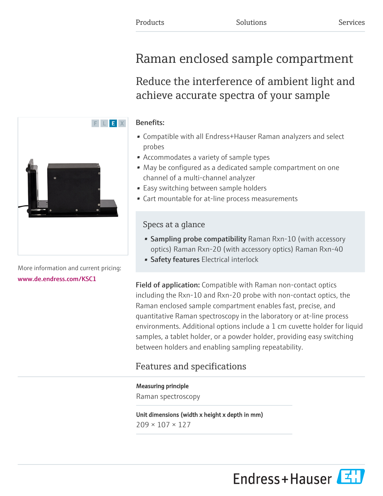# Raman enclosed sample compartment

Reduce the interference of ambient light and achieve accurate spectra of your sample

#### Benefits:

- Compatible with all Endress+Hauser Raman analyzers and select probes
- Accommodates a variety of sample types
- May be configured as a dedicated sample compartment on one channel of a multi-channel analyzer
- Easy switching between sample holders
- Cart mountable for at-line process measurements

### Specs at a glance

- Sampling probe compatibility Raman Rxn-10 (with accessory optics) Raman Rxn-20 (with accessory optics) Raman Rxn-40
- Safety features Electrical interlock

Field of application: Compatible with Raman non-contact optics including the Rxn-10 and Rxn-20 probe with non-contact optics, the Raman enclosed sample compartment enables fast, precise, and quantitative Raman spectroscopy in the laboratory or at-line process environments. Additional options include a 1 cm cuvette holder for liquid samples, a tablet holder, or a powder holder, providing easy switching between holders and enabling sampling repeatability.

## Features and specifications

#### Measuring principle

Raman spectroscopy

Unit dimensions (width x height x depth in mm) 209 × 107 × 127



More information and current pricing: [www.de.endress.com/KSC1](https://www.de.endress.com/KSC1)